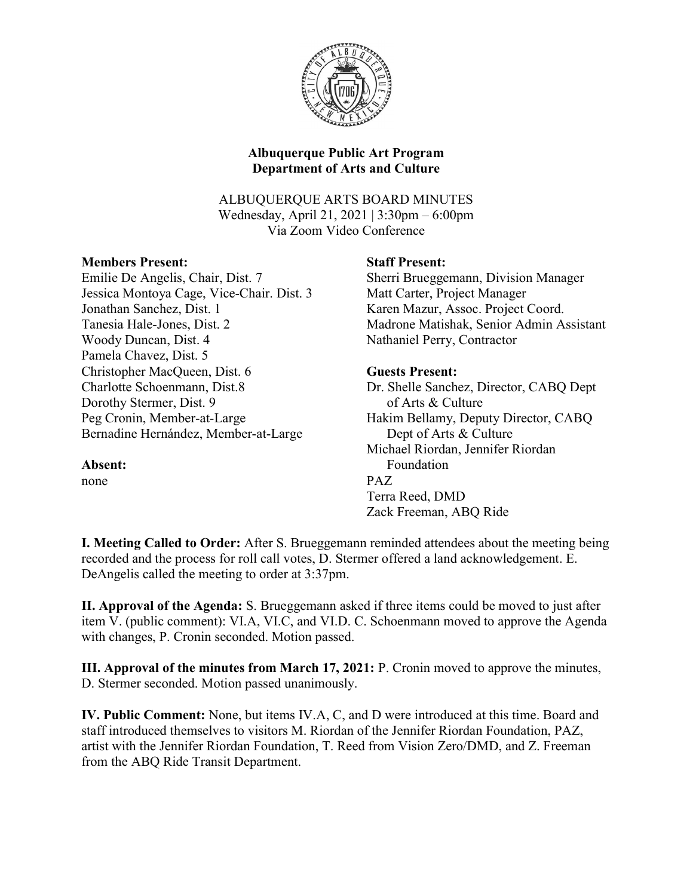

# Albuquerque Public Art Program Department of Arts and Culture

# ALBUQUERQUE ARTS BOARD MINUTES

Wednesday, April 21, 2021 | 3:30pm – 6:00pm Via Zoom Video Conference

#### Members Present:

Emilie De Angelis, Chair, Dist. 7 Jessica Montoya Cage, Vice-Chair. Dist. 3 Jonathan Sanchez, Dist. 1 Tanesia Hale-Jones, Dist. 2 Woody Duncan, Dist. 4 Pamela Chavez, Dist. 5 Christopher MacQueen, Dist. 6 Charlotte Schoenmann, Dist.8 Dorothy Stermer, Dist. 9 Peg Cronin, Member-at-Large Bernadine Hernández, Member-at-Large

Absent: none

#### Staff Present:

Sherri Brueggemann, Division Manager Matt Carter, Project Manager Karen Mazur, Assoc. Project Coord. Madrone Matishak, Senior Admin Assistant Nathaniel Perry, Contractor

# Guests Present:

Dr. Shelle Sanchez, Director, CABQ Dept of Arts & Culture Hakim Bellamy, Deputy Director, CABQ Dept of Arts & Culture Michael Riordan, Jennifer Riordan Foundation PAZ Terra Reed, DMD Zack Freeman, ABQ Ride

I. Meeting Called to Order: After S. Brueggemann reminded attendees about the meeting being recorded and the process for roll call votes, D. Stermer offered a land acknowledgement. E. DeAngelis called the meeting to order at 3:37pm.

II. Approval of the Agenda: S. Brueggemann asked if three items could be moved to just after item V. (public comment): VI.A, VI.C, and VI.D. C. Schoenmann moved to approve the Agenda with changes, P. Cronin seconded. Motion passed.

III. Approval of the minutes from March 17, 2021: P. Cronin moved to approve the minutes, D. Stermer seconded. Motion passed unanimously.

IV. Public Comment: None, but items IV.A, C, and D were introduced at this time. Board and staff introduced themselves to visitors M. Riordan of the Jennifer Riordan Foundation, PAZ, artist with the Jennifer Riordan Foundation, T. Reed from Vision Zero/DMD, and Z. Freeman from the ABQ Ride Transit Department.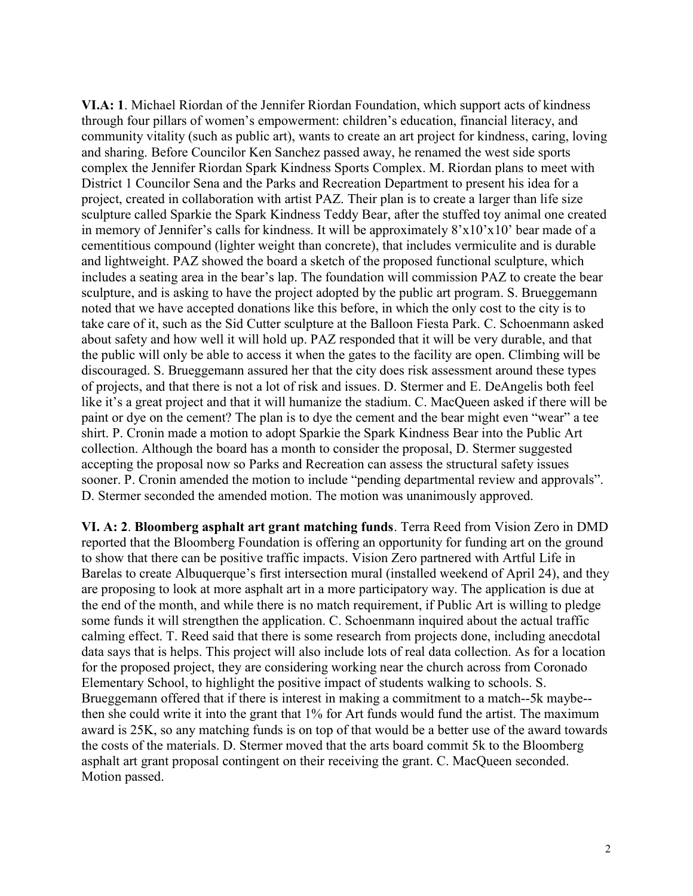VI.A: 1. Michael Riordan of the Jennifer Riordan Foundation, which support acts of kindness through four pillars of women's empowerment: children's education, financial literacy, and community vitality (such as public art), wants to create an art project for kindness, caring, loving and sharing. Before Councilor Ken Sanchez passed away, he renamed the west side sports complex the Jennifer Riordan Spark Kindness Sports Complex. M. Riordan plans to meet with District 1 Councilor Sena and the Parks and Recreation Department to present his idea for a project, created in collaboration with artist PAZ. Their plan is to create a larger than life size sculpture called Sparkie the Spark Kindness Teddy Bear, after the stuffed toy animal one created in memory of Jennifer's calls for kindness. It will be approximately 8'x10'x10' bear made of a cementitious compound (lighter weight than concrete), that includes vermiculite and is durable and lightweight. PAZ showed the board a sketch of the proposed functional sculpture, which includes a seating area in the bear's lap. The foundation will commission PAZ to create the bear sculpture, and is asking to have the project adopted by the public art program. S. Brueggemann noted that we have accepted donations like this before, in which the only cost to the city is to take care of it, such as the Sid Cutter sculpture at the Balloon Fiesta Park. C. Schoenmann asked about safety and how well it will hold up. PAZ responded that it will be very durable, and that the public will only be able to access it when the gates to the facility are open. Climbing will be discouraged. S. Brueggemann assured her that the city does risk assessment around these types of projects, and that there is not a lot of risk and issues. D. Stermer and E. DeAngelis both feel like it's a great project and that it will humanize the stadium. C. MacQueen asked if there will be paint or dye on the cement? The plan is to dye the cement and the bear might even "wear" a tee shirt. P. Cronin made a motion to adopt Sparkie the Spark Kindness Bear into the Public Art collection. Although the board has a month to consider the proposal, D. Stermer suggested accepting the proposal now so Parks and Recreation can assess the structural safety issues sooner. P. Cronin amended the motion to include "pending departmental review and approvals". D. Stermer seconded the amended motion. The motion was unanimously approved.

VI. A: 2. Bloomberg asphalt art grant matching funds. Terra Reed from Vision Zero in DMD reported that the Bloomberg Foundation is offering an opportunity for funding art on the ground to show that there can be positive traffic impacts. Vision Zero partnered with Artful Life in Barelas to create Albuquerque's first intersection mural (installed weekend of April 24), and they are proposing to look at more asphalt art in a more participatory way. The application is due at the end of the month, and while there is no match requirement, if Public Art is willing to pledge some funds it will strengthen the application. C. Schoenmann inquired about the actual traffic calming effect. T. Reed said that there is some research from projects done, including anecdotal data says that is helps. This project will also include lots of real data collection. As for a location for the proposed project, they are considering working near the church across from Coronado Elementary School, to highlight the positive impact of students walking to schools. S. Brueggemann offered that if there is interest in making a commitment to a match--5k maybe- then she could write it into the grant that 1% for Art funds would fund the artist. The maximum award is 25K, so any matching funds is on top of that would be a better use of the award towards the costs of the materials. D. Stermer moved that the arts board commit 5k to the Bloomberg asphalt art grant proposal contingent on their receiving the grant. C. MacQueen seconded. Motion passed.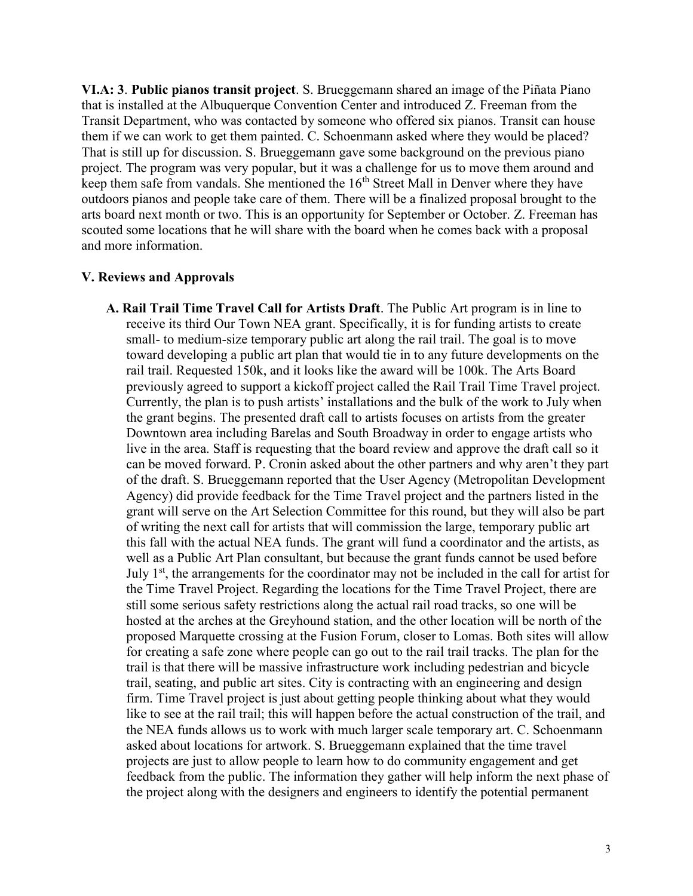VI.A: 3. Public pianos transit project. S. Brueggemann shared an image of the Piñata Piano that is installed at the Albuquerque Convention Center and introduced Z. Freeman from the Transit Department, who was contacted by someone who offered six pianos. Transit can house them if we can work to get them painted. C. Schoenmann asked where they would be placed? That is still up for discussion. S. Brueggemann gave some background on the previous piano project. The program was very popular, but it was a challenge for us to move them around and keep them safe from vandals. She mentioned the 16<sup>th</sup> Street Mall in Denver where they have outdoors pianos and people take care of them. There will be a finalized proposal brought to the arts board next month or two. This is an opportunity for September or October. Z. Freeman has scouted some locations that he will share with the board when he comes back with a proposal and more information.

#### V. Reviews and Approvals

A. Rail Trail Time Travel Call for Artists Draft. The Public Art program is in line to receive its third Our Town NEA grant. Specifically, it is for funding artists to create small- to medium-size temporary public art along the rail trail. The goal is to move toward developing a public art plan that would tie in to any future developments on the rail trail. Requested 150k, and it looks like the award will be 100k. The Arts Board previously agreed to support a kickoff project called the Rail Trail Time Travel project. Currently, the plan is to push artists' installations and the bulk of the work to July when the grant begins. The presented draft call to artists focuses on artists from the greater Downtown area including Barelas and South Broadway in order to engage artists who live in the area. Staff is requesting that the board review and approve the draft call so it can be moved forward. P. Cronin asked about the other partners and why aren't they part of the draft. S. Brueggemann reported that the User Agency (Metropolitan Development Agency) did provide feedback for the Time Travel project and the partners listed in the grant will serve on the Art Selection Committee for this round, but they will also be part of writing the next call for artists that will commission the large, temporary public art this fall with the actual NEA funds. The grant will fund a coordinator and the artists, as well as a Public Art Plan consultant, but because the grant funds cannot be used before July  $1<sup>st</sup>$ , the arrangements for the coordinator may not be included in the call for artist for the Time Travel Project. Regarding the locations for the Time Travel Project, there are still some serious safety restrictions along the actual rail road tracks, so one will be hosted at the arches at the Greyhound station, and the other location will be north of the proposed Marquette crossing at the Fusion Forum, closer to Lomas. Both sites will allow for creating a safe zone where people can go out to the rail trail tracks. The plan for the trail is that there will be massive infrastructure work including pedestrian and bicycle trail, seating, and public art sites. City is contracting with an engineering and design firm. Time Travel project is just about getting people thinking about what they would like to see at the rail trail; this will happen before the actual construction of the trail, and the NEA funds allows us to work with much larger scale temporary art. C. Schoenmann asked about locations for artwork. S. Brueggemann explained that the time travel projects are just to allow people to learn how to do community engagement and get feedback from the public. The information they gather will help inform the next phase of the project along with the designers and engineers to identify the potential permanent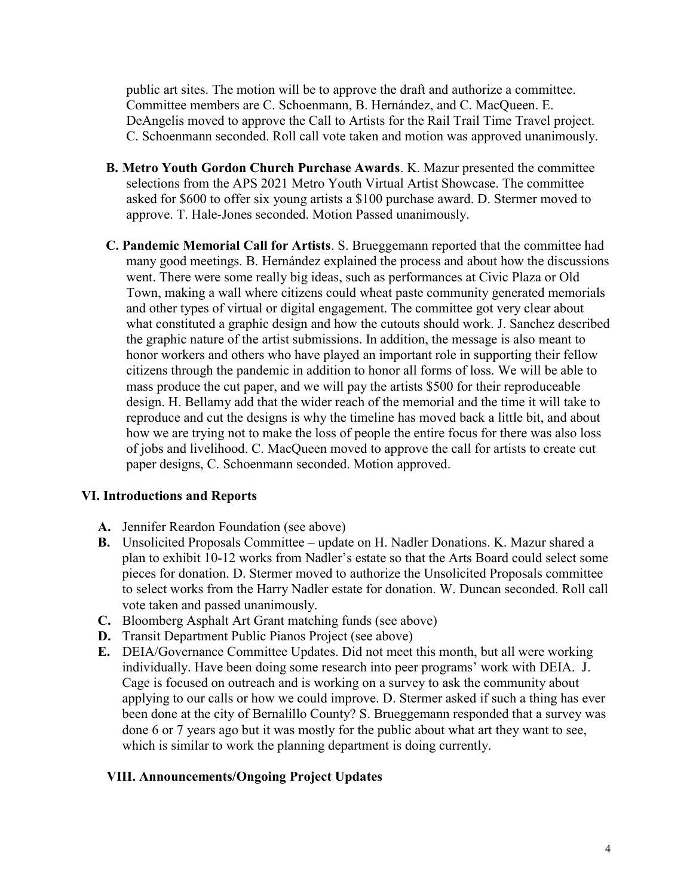public art sites. The motion will be to approve the draft and authorize a committee. Committee members are C. Schoenmann, B. Hernández, and C. MacQueen. E. DeAngelis moved to approve the Call to Artists for the Rail Trail Time Travel project. C. Schoenmann seconded. Roll call vote taken and motion was approved unanimously.

- B. Metro Youth Gordon Church Purchase Awards. K. Mazur presented the committee selections from the APS 2021 Metro Youth Virtual Artist Showcase. The committee asked for \$600 to offer six young artists a \$100 purchase award. D. Stermer moved to approve. T. Hale-Jones seconded. Motion Passed unanimously.
- C. Pandemic Memorial Call for Artists. S. Brueggemann reported that the committee had many good meetings. B. Hernández explained the process and about how the discussions went. There were some really big ideas, such as performances at Civic Plaza or Old Town, making a wall where citizens could wheat paste community generated memorials and other types of virtual or digital engagement. The committee got very clear about what constituted a graphic design and how the cutouts should work. J. Sanchez described the graphic nature of the artist submissions. In addition, the message is also meant to honor workers and others who have played an important role in supporting their fellow citizens through the pandemic in addition to honor all forms of loss. We will be able to mass produce the cut paper, and we will pay the artists \$500 for their reproduceable design. H. Bellamy add that the wider reach of the memorial and the time it will take to reproduce and cut the designs is why the timeline has moved back a little bit, and about how we are trying not to make the loss of people the entire focus for there was also loss of jobs and livelihood. C. MacQueen moved to approve the call for artists to create cut paper designs, C. Schoenmann seconded. Motion approved.

# VI. Introductions and Reports

- A. Jennifer Reardon Foundation (see above)
- B. Unsolicited Proposals Committee update on H. Nadler Donations. K. Mazur shared a plan to exhibit 10-12 works from Nadler's estate so that the Arts Board could select some pieces for donation. D. Stermer moved to authorize the Unsolicited Proposals committee to select works from the Harry Nadler estate for donation. W. Duncan seconded. Roll call vote taken and passed unanimously.
- C. Bloomberg Asphalt Art Grant matching funds (see above)
- D. Transit Department Public Pianos Project (see above)
- E. DEIA/Governance Committee Updates. Did not meet this month, but all were working individually. Have been doing some research into peer programs' work with DEIA. J. Cage is focused on outreach and is working on a survey to ask the community about applying to our calls or how we could improve. D. Stermer asked if such a thing has ever been done at the city of Bernalillo County? S. Brueggemann responded that a survey was done 6 or 7 years ago but it was mostly for the public about what art they want to see, which is similar to work the planning department is doing currently.

# VIII. Announcements/Ongoing Project Updates